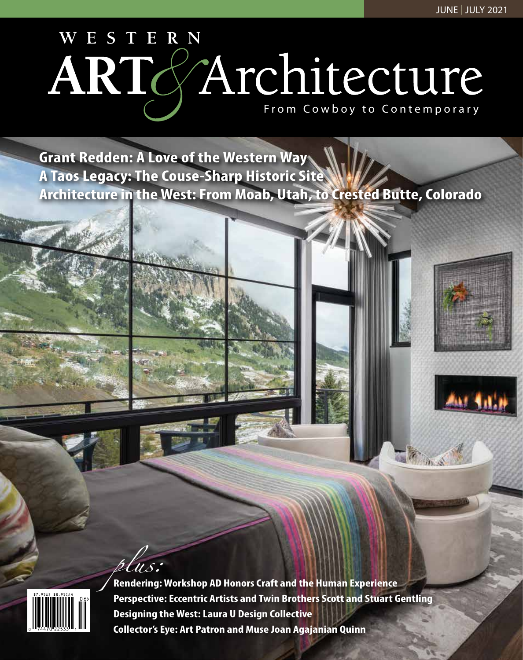# WESTERN ARTGArchitecture

**Grant Redden: A Love of the Western Way A Taos Legacy: The Couse-Sharp Historic Site Architecture in the West: From Moab, Utah, to Crested Butte, Colorado**



*plus:* **Rendering: Workshop AD Honors Craft and the Human Experience Perspective: Eccentric Artists and Twin Brothers Scott and Stuart Gentling Designing the West: Laura U Design Collective Collector's Eye: Art Patron and Muse Joan Agajanian Quinn**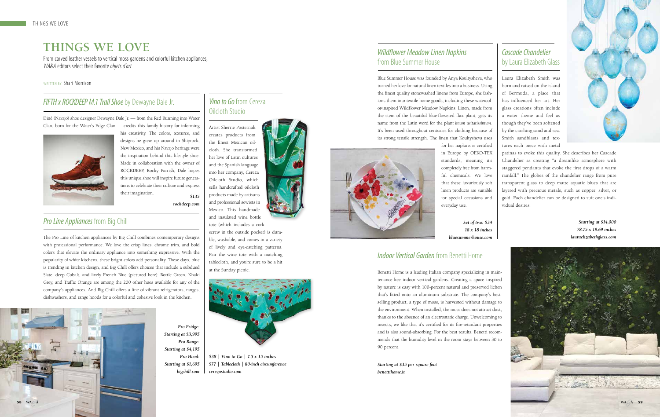#### *Indoor Vertical Garden* from Benetti Home

Benetti Home is a leading Italian company specializing in maintenance-free indoor vertical gardens. Creating a space inspired by nature is easy with 100-percent natural and preserved lichen that's fitted onto an aluminum substrate. The company's bestselling product, a type of moss, is harvested without damage to the environment. When installed, the moss does not attract dust, thanks to the absence of an electrostatic charge. Unwelcoming to insects, we like that it's certified for its fire-retardant properties and is also sound-absorbing. For the best results, Benetti recommends that the humidity level in the room stays between 30 to 90 percent.



## **THINGS WE LOVE**

From carved leather vessels to vertical moss gardens and colorful kitchen appliances, *WA&A* editors select their favorite *objets d'art*

WRITTEN BY Shari Morrison

Oilcloth Studio

Artist Sherrie Posternak creates products from

#### the finest Mexican oilcloth. She transformed her love of Latin cultures and the Spanish language

*Vino to Go* from Cereza

into her company, Cereza Oilcloth Studio, which sells handcrafted oilcloth products made by artisans and professional sewists in Mexico. This handmade



tote (which includes a corkscrew in the outside pocket) is durable, washable, and comes in a variety of lively and eye-catching patterns. Pair the wine tote with a matching tablecloth, and you're sure to be a hit at the Sunday picnic.



#### *FIFTH x ROCKDEEP M.1 Trail Shoe* by Dewayne Dale Jr.

Diné (Navajo) shoe designer Dewayne Dale Jr. — from the Red Running into Water Clan, born for the Water's Edge Clan — credits this family history for informing



The Pro Line of kitchen appliances by Big Chill combines contemporary designs with professional performance. We love the crisp lines, chrome trim, and bold colors that elevate the ordinary appliance into something expressive. With the popularity of white kitchens, these bright colors add personality. These days, blue is trending in kitchen design, and Big Chill offers choices that include a subdued Slate, deep Cobalt, and lively French Blue (pictured here). Bottle Green, Khaki Grey, and Traffic Orange are among the 200 other hues available for any of the company's appliances. And Big Chill offers a line of vibrant refrigerators, ranges, dishwashers, and range hoods for a colorful and cohesive look in the kitchen.

#### *Wildflower Meadow Linen Napkins*  from Blue Summer House

Blue Summer House was founded by Anya Koultysheva, who turned her love for natural linen textiles into a business. Using the finest quality stonewashed linens from Europe, she fashions them into textile home goods, including these watercolor-inspired Wildflower Meadow Napkins. Linen, made from the stem of the beautiful blue-flowered flax plant, gets its name from the Latin word for the plant *linum usitatissimum*. It's been used throughout centuries for clothing because of its strong tensile strength. The linen that Koultysheva uses



his creativity. The colors, textures, and designs he grew up around in Shiprock, New Mexico, and his Navajo heritage were the inspiration behind this lifestyle shoe. Made in collaboration with the owner of ROCKDEEP, Rocky Parrish, Dale hopes this unique shoe will inspire future generations to celebrate their culture and express their imagination. *\$135*

for her napkins is certified in Europe by OEKO-TEX standards, meaning it's completely free from harmful chemicals. We love that these luxuriously soft linen products are suitable for special occasions and everyday use.

> *Set of two: \$34 18 x 18 inches bluesummerhouse.com*

#### *Cascade Chandelier*  by Laura Elizabeth Glass

Laura Elizabeth Smith was born and raised on the island of Bermuda, a place that has influenced her art. Her glass creations often include a water theme and feel as though they've been softened by the crashing sand and sea. Smith sandblasts and textures each piece with metal



patinas to evoke this quality. She describes her Cascade Chandelier as creating "a dreamlike atmosphere with staggered pendants that evoke the first drops of a warm rainfall." The globes of the chandelier range from pure transparent glass to deep matte aquatic blues that are layered with precious metals, such as copper, silver, or gold. Each chandelier can be designed to suit one's individual desires.

> *Starting at \$14,000 78.75 x 19.69 inches lauraelizabethglass.com*

*Pro Fridge: Starting at \$3,995 Pro Range: Starting at \$4,195 Pro Hood: Starting at \$1,695 bigchill.com*



*Starting at \$35 per square foot benettihome.it*

*rockdeep.com*

#### *Pro Line Appliances* from Big Chill

*\$38 | Vino to Go | 7.5 x 15 inches \$77 | Tablecloth | 80-inch circumference cerezastudio.com*